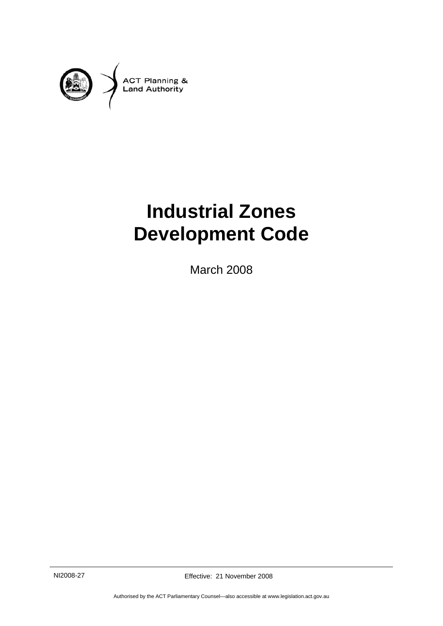

# **Industrial Zones Development Code**

March 2008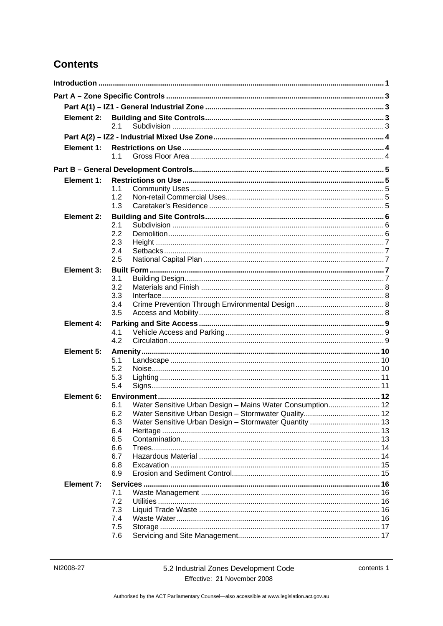## **Contents**

| Element 2:        |                                                                  |  |
|-------------------|------------------------------------------------------------------|--|
|                   | 2.1                                                              |  |
|                   |                                                                  |  |
| Element 1:        |                                                                  |  |
|                   | 11                                                               |  |
|                   |                                                                  |  |
| Element 1:        |                                                                  |  |
|                   | 1.1                                                              |  |
|                   | 1.2                                                              |  |
|                   | 1.3                                                              |  |
| Element 2:        |                                                                  |  |
|                   | 2.1                                                              |  |
|                   | 2.2                                                              |  |
|                   | 2.3                                                              |  |
|                   | 2.4                                                              |  |
|                   | 2.5                                                              |  |
| Element 3:        |                                                                  |  |
|                   | 3.1                                                              |  |
|                   | 3.2                                                              |  |
|                   | 3.3<br>3.4                                                       |  |
|                   | 3.5                                                              |  |
|                   |                                                                  |  |
| <b>Element 4:</b> | 4.1                                                              |  |
|                   | 4.2                                                              |  |
| Element 5:        |                                                                  |  |
|                   | 5.1                                                              |  |
|                   | 5.2                                                              |  |
|                   | 5.3                                                              |  |
|                   | 5.4                                                              |  |
| Element 6:        |                                                                  |  |
|                   | Water Sensitive Urban Design - Mains Water Consumption 12<br>6.1 |  |
|                   | 6.2 Water Sensitive Urban Design - Stormwater Quality 12         |  |
|                   | 6.3                                                              |  |
|                   | 6.4                                                              |  |
|                   | 6.5                                                              |  |
|                   | 6.6<br>6.7                                                       |  |
|                   | 6.8                                                              |  |
|                   | 6.9                                                              |  |
| Element 7:        |                                                                  |  |
|                   | 7.1                                                              |  |
|                   | 7.2                                                              |  |
|                   | 7.3                                                              |  |
|                   | 7.4                                                              |  |
|                   | 7.5                                                              |  |
|                   | 7.6                                                              |  |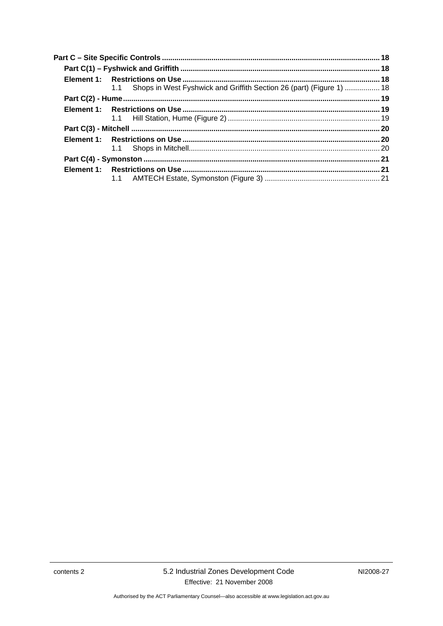| 1.1 Shops in West Fyshwick and Griffith Section 26 (part) (Figure 1)  18 |  |
|--------------------------------------------------------------------------|--|
|                                                                          |  |
|                                                                          |  |
|                                                                          |  |
|                                                                          |  |
|                                                                          |  |
|                                                                          |  |
|                                                                          |  |
|                                                                          |  |
|                                                                          |  |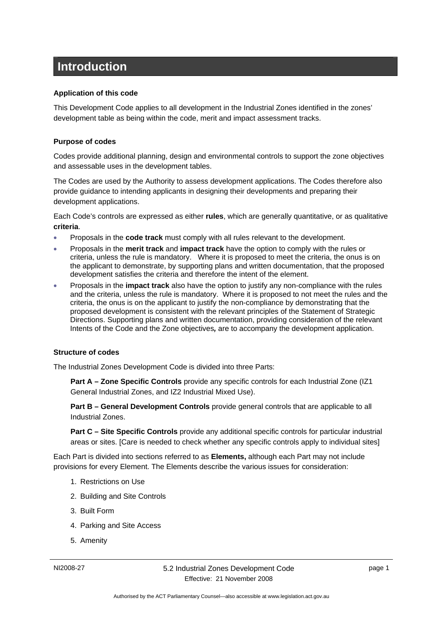## <span id="page-4-0"></span>**Introduction**

#### **Application of this code**

This Development Code applies to all development in the Industrial Zones identified in the zones' development table as being within the code, merit and impact assessment tracks.

#### **Purpose of codes**

Codes provide additional planning, design and environmental controls to support the zone objectives and assessable uses in the development tables.

The Codes are used by the Authority to assess development applications. The Codes therefore also provide guidance to intending applicants in designing their developments and preparing their development applications.

Each Code's controls are expressed as either **rules**, which are generally quantitative, or as qualitative **criteria**.

- Proposals in the **code track** must comply with all rules relevant to the development.
- Proposals in the **merit track** and **impact track** have the option to comply with the rules or criteria, unless the rule is mandatory. Where it is proposed to meet the criteria, the onus is on the applicant to demonstrate, by supporting plans and written documentation, that the proposed development satisfies the criteria and therefore the intent of the element.
- Proposals in the **impact track** also have the option to justify any non-compliance with the rules and the criteria, unless the rule is mandatory. Where it is proposed to not meet the rules and the criteria, the onus is on the applicant to justify the non-compliance by demonstrating that the proposed development is consistent with the relevant principles of the Statement of Strategic Directions. Supporting plans and written documentation, providing consideration of the relevant Intents of the Code and the Zone objectives*,* are to accompany the development application.

#### **Structure of codes**

The Industrial Zones Development Code is divided into three Parts:

**Part A – Zone Specific Controls** provide any specific controls for each Industrial Zone (IZ1 General Industrial Zones, and IZ2 Industrial Mixed Use).

**Part B – General Development Controls** provide general controls that are applicable to all Industrial Zones.

**Part C – Site Specific Controls** provide any additional specific controls for particular industrial areas or sites. [Care is needed to check whether any specific controls apply to individual sites]

Each Part is divided into sections referred to as **Elements,** although each Part may not include provisions for every Element. The Elements describe the various issues for consideration:

- 1. Restrictions on Use
- 2. Building and Site Controls
- 3. Built Form
- 4. Parking and Site Access
- 5. Amenity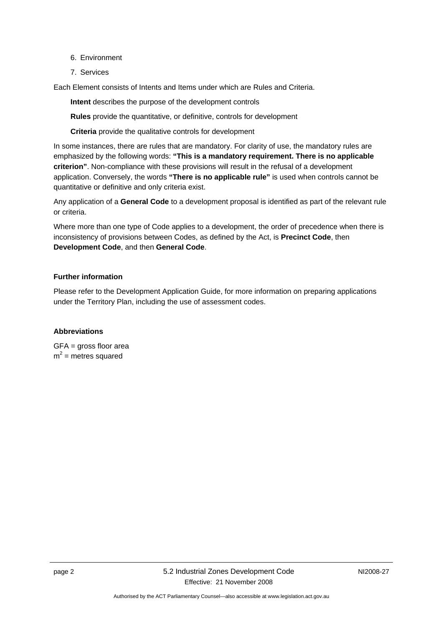- 6. Environment
- 7. Services

Each Element consists of Intents and Items under which are Rules and Criteria.

**Intent** describes the purpose of the development controls

**Rules** provide the quantitative, or definitive, controls for development

**Criteria** provide the qualitative controls for development

In some instances, there are rules that are mandatory. For clarity of use, the mandatory rules are emphasized by the following words: **"This is a mandatory requirement. There is no applicable criterion"**. Non-compliance with these provisions will result in the refusal of a development application. Conversely, the words **"There is no applicable rule"** is used when controls cannot be quantitative or definitive and only criteria exist.

Any application of a **General Code** to a development proposal is identified as part of the relevant rule or criteria.

Where more than one type of Code applies to a development, the order of precedence when there is inconsistency of provisions between Codes, as defined by the Act, is **Precinct Code**, then **Development Code**, and then **General Code**.

### **Further information**

Please refer to the Development Application Guide, for more information on preparing applications under the Territory Plan, including the use of assessment codes.

#### **Abbreviations**

GFA = gross floor area  $m^2$  = metres squared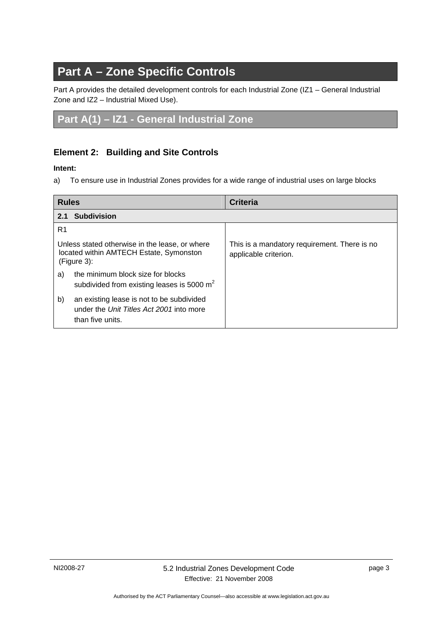## <span id="page-6-0"></span>**Part A – Zone Specific Controls**

Part A provides the detailed development controls for each Industrial Zone (IZ1 – General Industrial Zone and IZ2 – Industrial Mixed Use).

## **Part A(1) – IZ1 - General Industrial Zone**

## **Element 2: Building and Site Controls**

### **Intent:**

a) To ensure use in Industrial Zones provides for a wide range of industrial uses on large blocks

| <b>Rules</b>                                                                                                    | <b>Criteria</b>                                                       |
|-----------------------------------------------------------------------------------------------------------------|-----------------------------------------------------------------------|
| <b>Subdivision</b><br>2.1                                                                                       |                                                                       |
| R1                                                                                                              |                                                                       |
| Unless stated otherwise in the lease, or where<br>located within AMTECH Estate, Symonston<br>$(Figure 3)$ :     | This is a mandatory requirement. There is no<br>applicable criterion. |
| the minimum block size for blocks<br>a)<br>subdivided from existing leases is 5000 $m2$                         |                                                                       |
| b)<br>an existing lease is not to be subdivided<br>under the Unit Titles Act 2001 into more<br>than five units. |                                                                       |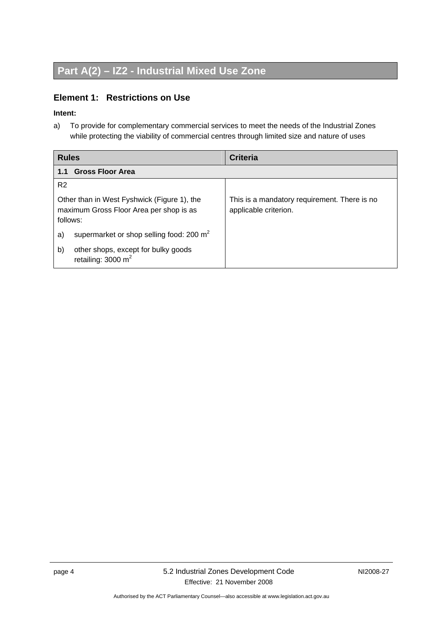## <span id="page-7-0"></span>**Part A(2) – IZ2 - Industrial Mixed Use Zone**

## **Element 1: Restrictions on Use**

#### **Intent:**

a) To provide for complementary commercial services to meet the needs of the Industrial Zones while protecting the viability of commercial centres through limited size and nature of uses

| <b>Rules</b>                                                                                       | <b>Criteria</b>                                                       |  |
|----------------------------------------------------------------------------------------------------|-----------------------------------------------------------------------|--|
| <b>Gross Floor Area</b><br>1.1                                                                     |                                                                       |  |
| R <sub>2</sub>                                                                                     |                                                                       |  |
| Other than in West Fyshwick (Figure 1), the<br>maximum Gross Floor Area per shop is as<br>follows: | This is a mandatory requirement. There is no<br>applicable criterion. |  |
| supermarket or shop selling food: 200 m <sup>2</sup><br>a)                                         |                                                                       |  |
| b)<br>other shops, except for bulky goods<br>retailing: $3000 \text{ m}^2$                         |                                                                       |  |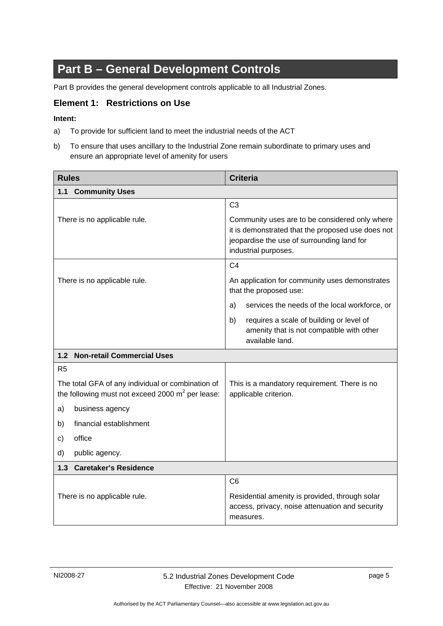## <span id="page-8-0"></span>**Part B – General Development Controls**

Part B provides the general development controls applicable to all Industrial Zones.

### **Element 1: Restrictions on Use**

#### **Intent:**

- a) To provide for sufficient land to meet the industrial needs of the ACT
- b) To ensure that uses ancillary to the Industrial Zone remain subordinate to primary uses and ensure an appropriate level of amenity for users

| <b>Rules</b>                                                                                             | <b>Criteria</b>                                                                                                                                                           |  |
|----------------------------------------------------------------------------------------------------------|---------------------------------------------------------------------------------------------------------------------------------------------------------------------------|--|
| 1.1 Community Uses                                                                                       |                                                                                                                                                                           |  |
|                                                                                                          | C <sub>3</sub>                                                                                                                                                            |  |
| There is no applicable rule.                                                                             | Community uses are to be considered only where<br>it is demonstrated that the proposed use does not<br>jeopardise the use of surrounding land for<br>industrial purposes. |  |
|                                                                                                          | C <sub>4</sub>                                                                                                                                                            |  |
| There is no applicable rule.                                                                             | An application for community uses demonstrates<br>that the proposed use:                                                                                                  |  |
|                                                                                                          | services the needs of the local workforce, or<br>a)                                                                                                                       |  |
|                                                                                                          | b)<br>requires a scale of building or level of<br>amenity that is not compatible with other<br>available land.                                                            |  |
| 1.2 Non-retail Commercial Uses                                                                           |                                                                                                                                                                           |  |
| R <sub>5</sub>                                                                                           |                                                                                                                                                                           |  |
| The total GFA of any individual or combination of<br>the following must not exceed 2000 $m^2$ per lease: | This is a mandatory requirement. There is no<br>applicable criterion.                                                                                                     |  |
| a)<br>business agency                                                                                    |                                                                                                                                                                           |  |
| financial establishment<br>b)                                                                            |                                                                                                                                                                           |  |
| office<br>c)                                                                                             |                                                                                                                                                                           |  |
| d)<br>public agency.                                                                                     |                                                                                                                                                                           |  |
| <b>Caretaker's Residence</b><br>1.3                                                                      |                                                                                                                                                                           |  |
|                                                                                                          | C <sub>6</sub>                                                                                                                                                            |  |
| There is no applicable rule.                                                                             | Residential amenity is provided, through solar<br>access, privacy, noise attenuation and security<br>measures.                                                            |  |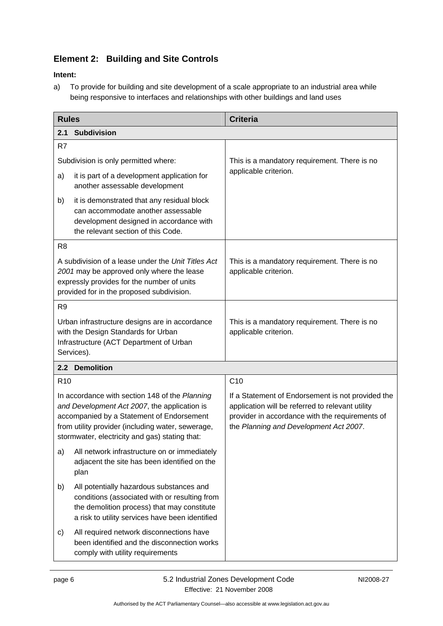## <span id="page-9-0"></span>**Element 2: Building and Site Controls**

### **Intent:**

a) To provide for building and site development of a scale appropriate to an industrial area while being responsive to interfaces and relationships with other buildings and land uses

| <b>Rules</b>                                                                                                                                                                                                                                       |                                                                                                                                                                                             | <b>Criteria</b>                                                                                                                                                                                    |
|----------------------------------------------------------------------------------------------------------------------------------------------------------------------------------------------------------------------------------------------------|---------------------------------------------------------------------------------------------------------------------------------------------------------------------------------------------|----------------------------------------------------------------------------------------------------------------------------------------------------------------------------------------------------|
| <b>Subdivision</b><br>2.1                                                                                                                                                                                                                          |                                                                                                                                                                                             |                                                                                                                                                                                                    |
| R7                                                                                                                                                                                                                                                 |                                                                                                                                                                                             |                                                                                                                                                                                                    |
| Subdivision is only permitted where:                                                                                                                                                                                                               |                                                                                                                                                                                             | This is a mandatory requirement. There is no                                                                                                                                                       |
| a)                                                                                                                                                                                                                                                 | it is part of a development application for<br>another assessable development                                                                                                               | applicable criterion.                                                                                                                                                                              |
| b)                                                                                                                                                                                                                                                 | it is demonstrated that any residual block<br>can accommodate another assessable<br>development designed in accordance with<br>the relevant section of this Code.                           |                                                                                                                                                                                                    |
| R <sub>8</sub>                                                                                                                                                                                                                                     |                                                                                                                                                                                             |                                                                                                                                                                                                    |
| A subdivision of a lease under the Unit Titles Act<br>2001 may be approved only where the lease<br>expressly provides for the number of units<br>provided for in the proposed subdivision.                                                         |                                                                                                                                                                                             | This is a mandatory requirement. There is no<br>applicable criterion.                                                                                                                              |
| R <sub>9</sub>                                                                                                                                                                                                                                     |                                                                                                                                                                                             |                                                                                                                                                                                                    |
| Urban infrastructure designs are in accordance<br>with the Design Standards for Urban<br>Infrastructure (ACT Department of Urban<br>Services).                                                                                                     |                                                                                                                                                                                             | This is a mandatory requirement. There is no<br>applicable criterion.                                                                                                                              |
|                                                                                                                                                                                                                                                    | 2.2 Demolition                                                                                                                                                                              |                                                                                                                                                                                                    |
| R <sub>10</sub>                                                                                                                                                                                                                                    |                                                                                                                                                                                             | C10                                                                                                                                                                                                |
| In accordance with section 148 of the Planning<br>and Development Act 2007, the application is<br>accompanied by a Statement of Endorsement<br>from utility provider (including water, sewerage,<br>stormwater, electricity and gas) stating that: |                                                                                                                                                                                             | If a Statement of Endorsement is not provided the<br>application will be referred to relevant utility<br>provider in accordance with the requirements of<br>the Planning and Development Act 2007. |
| a)                                                                                                                                                                                                                                                 | All network infrastructure on or immediately<br>adjacent the site has been identified on the<br>plan                                                                                        |                                                                                                                                                                                                    |
| b)                                                                                                                                                                                                                                                 | All potentially hazardous substances and<br>conditions (associated with or resulting from<br>the demolition process) that may constitute<br>a risk to utility services have been identified |                                                                                                                                                                                                    |
| C)                                                                                                                                                                                                                                                 | All required network disconnections have<br>been identified and the disconnection works<br>comply with utility requirements                                                                 |                                                                                                                                                                                                    |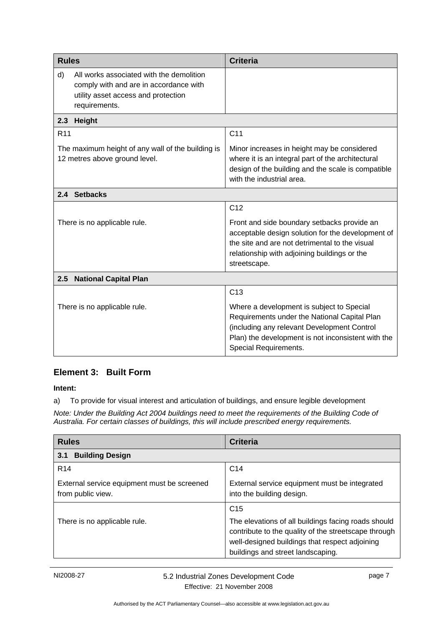<span id="page-10-0"></span>

| <b>Rules</b>                                                                                                                                     |  | <b>Criteria</b>                                                                                                                                                                                                         |
|--------------------------------------------------------------------------------------------------------------------------------------------------|--|-------------------------------------------------------------------------------------------------------------------------------------------------------------------------------------------------------------------------|
| All works associated with the demolition<br>d)<br>comply with and are in accordance with<br>utility asset access and protection<br>requirements. |  |                                                                                                                                                                                                                         |
| 2.3<br>Height                                                                                                                                    |  |                                                                                                                                                                                                                         |
| R <sub>11</sub>                                                                                                                                  |  | C <sub>11</sub>                                                                                                                                                                                                         |
| The maximum height of any wall of the building is<br>12 metres above ground level.                                                               |  | Minor increases in height may be considered<br>where it is an integral part of the architectural<br>design of the building and the scale is compatible<br>with the industrial area.                                     |
| 2.4 Setbacks                                                                                                                                     |  |                                                                                                                                                                                                                         |
|                                                                                                                                                  |  | C <sub>12</sub>                                                                                                                                                                                                         |
| There is no applicable rule.                                                                                                                     |  | Front and side boundary setbacks provide an<br>acceptable design solution for the development of<br>the site and are not detrimental to the visual<br>relationship with adjoining buildings or the<br>streetscape.      |
| <b>National Capital Plan</b><br>2.5                                                                                                              |  |                                                                                                                                                                                                                         |
|                                                                                                                                                  |  | C <sub>13</sub>                                                                                                                                                                                                         |
| There is no applicable rule.                                                                                                                     |  | Where a development is subject to Special<br>Requirements under the National Capital Plan<br>(including any relevant Development Control<br>Plan) the development is not inconsistent with the<br>Special Requirements. |

## **Element 3: Built Form**

**Intent:** 

a) To provide for visual interest and articulation of buildings, and ensure legible development

*Note: Under the Building Act 2004 buildings need to meet the requirements of the Building Code of Australia. For certain classes of buildings, this will include prescribed energy requirements.* 

| <b>Rules</b>                                                     | <b>Criteria</b>                                                                                                                                                                                                       |  |
|------------------------------------------------------------------|-----------------------------------------------------------------------------------------------------------------------------------------------------------------------------------------------------------------------|--|
| <b>Building Design</b><br>3.1                                    |                                                                                                                                                                                                                       |  |
| R <sub>14</sub>                                                  | C <sub>14</sub>                                                                                                                                                                                                       |  |
| External service equipment must be screened<br>from public view. | External service equipment must be integrated<br>into the building design.                                                                                                                                            |  |
| There is no applicable rule.                                     | C <sub>15</sub><br>The elevations of all buildings facing roads should<br>contribute to the quality of the streetscape through<br>well-designed buildings that respect adjoining<br>buildings and street landscaping. |  |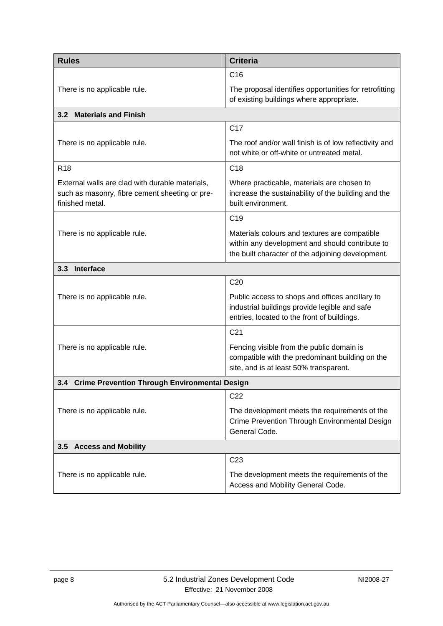<span id="page-11-0"></span>

| <b>Rules</b>                                                                                                         | <b>Criteria</b>                                                                                                                                       |  |
|----------------------------------------------------------------------------------------------------------------------|-------------------------------------------------------------------------------------------------------------------------------------------------------|--|
|                                                                                                                      | C <sub>16</sub>                                                                                                                                       |  |
| There is no applicable rule.                                                                                         | The proposal identifies opportunities for retrofitting<br>of existing buildings where appropriate.                                                    |  |
| 3.2 Materials and Finish                                                                                             |                                                                                                                                                       |  |
|                                                                                                                      | C <sub>17</sub>                                                                                                                                       |  |
| There is no applicable rule.                                                                                         | The roof and/or wall finish is of low reflectivity and<br>not white or off-white or untreated metal.                                                  |  |
| R <sub>18</sub>                                                                                                      | C <sub>18</sub>                                                                                                                                       |  |
| External walls are clad with durable materials,<br>such as masonry, fibre cement sheeting or pre-<br>finished metal. | Where practicable, materials are chosen to<br>increase the sustainability of the building and the<br>built environment.                               |  |
|                                                                                                                      | C <sub>19</sub>                                                                                                                                       |  |
| There is no applicable rule.                                                                                         | Materials colours and textures are compatible<br>within any development and should contribute to<br>the built character of the adjoining development. |  |
| 3.3 Interface                                                                                                        |                                                                                                                                                       |  |
|                                                                                                                      | C <sub>20</sub>                                                                                                                                       |  |
| There is no applicable rule.                                                                                         | Public access to shops and offices ancillary to<br>industrial buildings provide legible and safe<br>entries, located to the front of buildings.       |  |
|                                                                                                                      | C <sub>21</sub>                                                                                                                                       |  |
| There is no applicable rule.                                                                                         | Fencing visible from the public domain is<br>compatible with the predominant building on the<br>site, and is at least 50% transparent.                |  |
| 3.4 Crime Prevention Through Environmental Design                                                                    |                                                                                                                                                       |  |
|                                                                                                                      | C <sub>22</sub>                                                                                                                                       |  |
| There is no applicable rule.                                                                                         | The development meets the requirements of the<br>Crime Prevention Through Environmental Design<br>General Code.                                       |  |
| 3.5 Access and Mobility                                                                                              |                                                                                                                                                       |  |
|                                                                                                                      | C <sub>23</sub>                                                                                                                                       |  |
| There is no applicable rule.                                                                                         | The development meets the requirements of the<br>Access and Mobility General Code.                                                                    |  |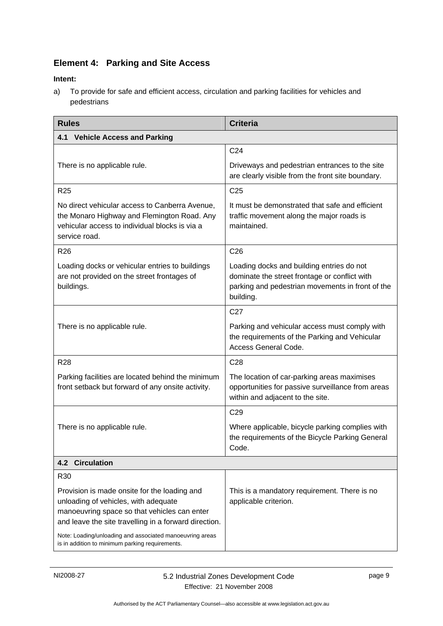## <span id="page-12-0"></span>**Element 4: Parking and Site Access**

#### **Intent:**

a) To provide for safe and efficient access, circulation and parking facilities for vehicles and pedestrians

| <b>Rules</b>                                                                                                                                                                                                                                              | <b>Criteria</b>                                                                                                                                             |  |  |  |
|-----------------------------------------------------------------------------------------------------------------------------------------------------------------------------------------------------------------------------------------------------------|-------------------------------------------------------------------------------------------------------------------------------------------------------------|--|--|--|
| <b>Vehicle Access and Parking</b><br>4.1                                                                                                                                                                                                                  |                                                                                                                                                             |  |  |  |
|                                                                                                                                                                                                                                                           | C <sub>24</sub>                                                                                                                                             |  |  |  |
| There is no applicable rule.                                                                                                                                                                                                                              | Driveways and pedestrian entrances to the site<br>are clearly visible from the front site boundary.                                                         |  |  |  |
| R <sub>25</sub>                                                                                                                                                                                                                                           | C <sub>25</sub>                                                                                                                                             |  |  |  |
| No direct vehicular access to Canberra Avenue,<br>the Monaro Highway and Flemington Road. Any<br>vehicular access to individual blocks is via a<br>service road.                                                                                          | It must be demonstrated that safe and efficient<br>traffic movement along the major roads is<br>maintained.                                                 |  |  |  |
| R <sub>26</sub>                                                                                                                                                                                                                                           | C <sub>26</sub>                                                                                                                                             |  |  |  |
| Loading docks or vehicular entries to buildings<br>are not provided on the street frontages of<br>buildings.                                                                                                                                              | Loading docks and building entries do not<br>dominate the street frontage or conflict with<br>parking and pedestrian movements in front of the<br>building. |  |  |  |
|                                                                                                                                                                                                                                                           | C <sub>27</sub>                                                                                                                                             |  |  |  |
| There is no applicable rule.                                                                                                                                                                                                                              | Parking and vehicular access must comply with<br>the requirements of the Parking and Vehicular<br>Access General Code.                                      |  |  |  |
| <b>R28</b>                                                                                                                                                                                                                                                | C <sub>28</sub>                                                                                                                                             |  |  |  |
| Parking facilities are located behind the minimum<br>front setback but forward of any onsite activity.                                                                                                                                                    | The location of car-parking areas maximises<br>opportunities for passive surveillance from areas<br>within and adjacent to the site.                        |  |  |  |
|                                                                                                                                                                                                                                                           | C <sub>29</sub>                                                                                                                                             |  |  |  |
| There is no applicable rule.                                                                                                                                                                                                                              | Where applicable, bicycle parking complies with<br>the requirements of the Bicycle Parking General<br>Code.                                                 |  |  |  |
| <b>4.2 Circulation</b>                                                                                                                                                                                                                                    |                                                                                                                                                             |  |  |  |
| R <sub>30</sub>                                                                                                                                                                                                                                           |                                                                                                                                                             |  |  |  |
| Provision is made onsite for the loading and<br>unloading of vehicles, with adequate<br>manoeuvring space so that vehicles can enter<br>and leave the site travelling in a forward direction.<br>Note: Loading/unloading and associated manoeuvring areas | This is a mandatory requirement. There is no<br>applicable criterion.                                                                                       |  |  |  |
| is in addition to minimum parking requirements.                                                                                                                                                                                                           |                                                                                                                                                             |  |  |  |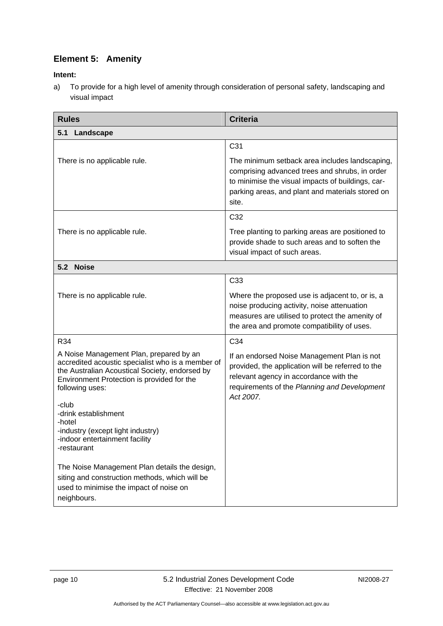## <span id="page-13-0"></span>**Element 5: Amenity**

**Intent:** 

a) To provide for a high level of amenity through consideration of personal safety, landscaping and visual impact

| <b>Rules</b>                                                                                                                                                                                                                                                                                    | <b>Criteria</b>                                                                                                                                                                                                    |  |  |
|-------------------------------------------------------------------------------------------------------------------------------------------------------------------------------------------------------------------------------------------------------------------------------------------------|--------------------------------------------------------------------------------------------------------------------------------------------------------------------------------------------------------------------|--|--|
| 5.1<br>Landscape                                                                                                                                                                                                                                                                                |                                                                                                                                                                                                                    |  |  |
|                                                                                                                                                                                                                                                                                                 | C31                                                                                                                                                                                                                |  |  |
| There is no applicable rule.                                                                                                                                                                                                                                                                    | The minimum setback area includes landscaping,<br>comprising advanced trees and shrubs, in order<br>to minimise the visual impacts of buildings, car-<br>parking areas, and plant and materials stored on<br>site. |  |  |
|                                                                                                                                                                                                                                                                                                 | C32                                                                                                                                                                                                                |  |  |
| There is no applicable rule.                                                                                                                                                                                                                                                                    | Tree planting to parking areas are positioned to<br>provide shade to such areas and to soften the<br>visual impact of such areas.                                                                                  |  |  |
| 5.2 Noise                                                                                                                                                                                                                                                                                       |                                                                                                                                                                                                                    |  |  |
|                                                                                                                                                                                                                                                                                                 | C <sub>33</sub>                                                                                                                                                                                                    |  |  |
| There is no applicable rule.                                                                                                                                                                                                                                                                    | Where the proposed use is adjacent to, or is, a<br>noise producing activity, noise attenuation<br>measures are utilised to protect the amenity of<br>the area and promote compatibility of uses.                   |  |  |
| R34                                                                                                                                                                                                                                                                                             | C34                                                                                                                                                                                                                |  |  |
| A Noise Management Plan, prepared by an<br>accredited acoustic specialist who is a member of<br>the Australian Acoustical Society, endorsed by<br>Environment Protection is provided for the<br>following uses:<br>-club<br>-drink establishment<br>-hotel<br>-industry (except light industry) | If an endorsed Noise Management Plan is not<br>provided, the application will be referred to the<br>relevant agency in accordance with the<br>requirements of the Planning and Development<br>Act 2007.            |  |  |
| -indoor entertainment facility<br>-restaurant                                                                                                                                                                                                                                                   |                                                                                                                                                                                                                    |  |  |
| The Noise Management Plan details the design,<br>siting and construction methods, which will be<br>used to minimise the impact of noise on<br>neighbours.                                                                                                                                       |                                                                                                                                                                                                                    |  |  |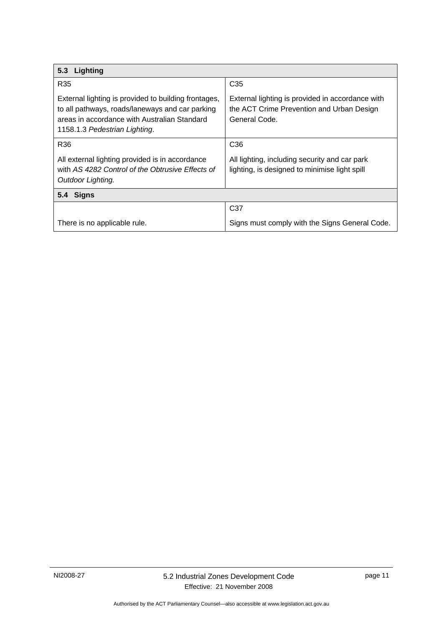<span id="page-14-0"></span>

| 5.3 Lighting                                                                                                                                                                             |                                                                                                                |  |
|------------------------------------------------------------------------------------------------------------------------------------------------------------------------------------------|----------------------------------------------------------------------------------------------------------------|--|
| R35                                                                                                                                                                                      | C <sub>35</sub>                                                                                                |  |
| External lighting is provided to building frontages,<br>to all pathways, roads/laneways and car parking<br>areas in accordance with Australian Standard<br>1158.1.3 Pedestrian Lighting. | External lighting is provided in accordance with<br>the ACT Crime Prevention and Urban Design<br>General Code. |  |
| R36                                                                                                                                                                                      | C <sub>36</sub>                                                                                                |  |
| All external lighting provided is in accordance<br>with AS 4282 Control of the Obtrusive Effects of<br>Outdoor Lighting.                                                                 | All lighting, including security and car park<br>lighting, is designed to minimise light spill                 |  |
| <b>Signs</b><br>5.4                                                                                                                                                                      |                                                                                                                |  |
|                                                                                                                                                                                          | C <sub>37</sub>                                                                                                |  |
| There is no applicable rule.                                                                                                                                                             | Signs must comply with the Signs General Code.                                                                 |  |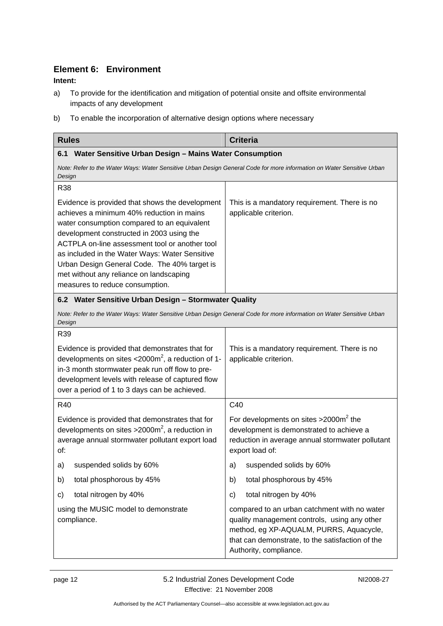## <span id="page-15-0"></span>**Element 6: Environment**

#### **Intent:**

- a) To provide for the identification and mitigation of potential onsite and offsite environmental impacts of any development
- b) To enable the incorporation of alternative design options where necessary

| <b>Rules</b>                                                                                                                                                                                                                                                                                                                                                                                                               | <b>Criteria</b>                                                                                                                                                                                                       |
|----------------------------------------------------------------------------------------------------------------------------------------------------------------------------------------------------------------------------------------------------------------------------------------------------------------------------------------------------------------------------------------------------------------------------|-----------------------------------------------------------------------------------------------------------------------------------------------------------------------------------------------------------------------|
| Water Sensitive Urban Design - Mains Water Consumption<br>6.1                                                                                                                                                                                                                                                                                                                                                              |                                                                                                                                                                                                                       |
| Note: Refer to the Water Ways: Water Sensitive Urban Design General Code for more information on Water Sensitive Urban<br>Design                                                                                                                                                                                                                                                                                           |                                                                                                                                                                                                                       |
| <b>R38</b>                                                                                                                                                                                                                                                                                                                                                                                                                 |                                                                                                                                                                                                                       |
| Evidence is provided that shows the development<br>achieves a minimum 40% reduction in mains<br>water consumption compared to an equivalent<br>development constructed in 2003 using the<br>ACTPLA on-line assessment tool or another tool<br>as included in the Water Ways: Water Sensitive<br>Urban Design General Code. The 40% target is<br>met without any reliance on landscaping<br>measures to reduce consumption. | This is a mandatory requirement. There is no<br>applicable criterion.                                                                                                                                                 |
| 6.2 Water Sensitive Urban Design - Stormwater Quality                                                                                                                                                                                                                                                                                                                                                                      |                                                                                                                                                                                                                       |
| Note: Refer to the Water Ways: Water Sensitive Urban Design General Code for more information on Water Sensitive Urban<br>Design                                                                                                                                                                                                                                                                                           |                                                                                                                                                                                                                       |
| R39                                                                                                                                                                                                                                                                                                                                                                                                                        |                                                                                                                                                                                                                       |
| Evidence is provided that demonstrates that for<br>developments on sites $<$ 2000m <sup>2</sup> , a reduction of 1-<br>in-3 month stormwater peak run off flow to pre-<br>development levels with release of captured flow<br>over a period of 1 to 3 days can be achieved.                                                                                                                                                | This is a mandatory requirement. There is no<br>applicable criterion.                                                                                                                                                 |
| R40                                                                                                                                                                                                                                                                                                                                                                                                                        | C40                                                                                                                                                                                                                   |
| Evidence is provided that demonstrates that for<br>developments on sites $>2000m^2$ , a reduction in<br>average annual stormwater pollutant export load<br>of:                                                                                                                                                                                                                                                             | For developments on sites $>2000m^2$ the<br>development is demonstrated to achieve a<br>reduction in average annual stormwater pollutant<br>export load of:                                                           |
| suspended solids by 60%<br>a)                                                                                                                                                                                                                                                                                                                                                                                              | suspended solids by 60%<br>a)                                                                                                                                                                                         |
| total phosphorous by 45%<br>b)                                                                                                                                                                                                                                                                                                                                                                                             | total phosphorous by 45%<br>b)                                                                                                                                                                                        |
| total nitrogen by 40%<br>C)                                                                                                                                                                                                                                                                                                                                                                                                | total nitrogen by 40%<br>C)                                                                                                                                                                                           |
| using the MUSIC model to demonstrate<br>compliance.                                                                                                                                                                                                                                                                                                                                                                        | compared to an urban catchment with no water<br>quality management controls, using any other<br>method, eg XP-AQUALM, PURRS, Aquacycle,<br>that can demonstrate, to the satisfaction of the<br>Authority, compliance. |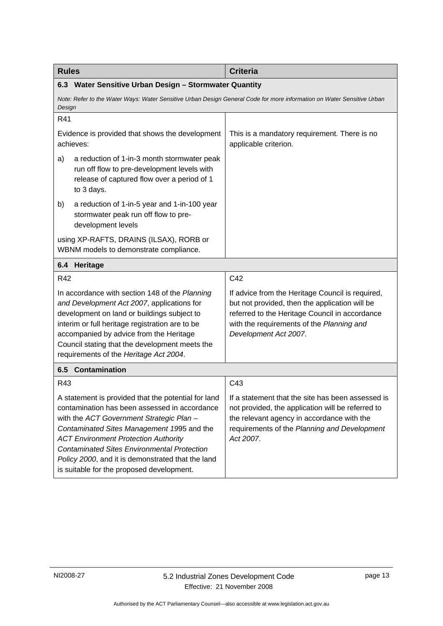<span id="page-16-0"></span>

| <b>Rules</b>                                                                                                                                                                                                                                                                                                                                                                                          | <b>Criteria</b>                                                                                                                                                                                                            |  |
|-------------------------------------------------------------------------------------------------------------------------------------------------------------------------------------------------------------------------------------------------------------------------------------------------------------------------------------------------------------------------------------------------------|----------------------------------------------------------------------------------------------------------------------------------------------------------------------------------------------------------------------------|--|
| 6.3 Water Sensitive Urban Design - Stormwater Quantity                                                                                                                                                                                                                                                                                                                                                |                                                                                                                                                                                                                            |  |
| Note: Refer to the Water Ways: Water Sensitive Urban Design General Code for more information on Water Sensitive Urban<br>Design                                                                                                                                                                                                                                                                      |                                                                                                                                                                                                                            |  |
| R41                                                                                                                                                                                                                                                                                                                                                                                                   |                                                                                                                                                                                                                            |  |
| Evidence is provided that shows the development<br>achieves:                                                                                                                                                                                                                                                                                                                                          | This is a mandatory requirement. There is no<br>applicable criterion.                                                                                                                                                      |  |
| a)<br>a reduction of 1-in-3 month stormwater peak<br>run off flow to pre-development levels with<br>release of captured flow over a period of 1<br>to 3 days.                                                                                                                                                                                                                                         |                                                                                                                                                                                                                            |  |
| a reduction of 1-in-5 year and 1-in-100 year<br>b)<br>stormwater peak run off flow to pre-<br>development levels                                                                                                                                                                                                                                                                                      |                                                                                                                                                                                                                            |  |
| using XP-RAFTS, DRAINS (ILSAX), RORB or<br>WBNM models to demonstrate compliance.                                                                                                                                                                                                                                                                                                                     |                                                                                                                                                                                                                            |  |
| Heritage<br>6.4                                                                                                                                                                                                                                                                                                                                                                                       |                                                                                                                                                                                                                            |  |
| R42                                                                                                                                                                                                                                                                                                                                                                                                   | C42                                                                                                                                                                                                                        |  |
| In accordance with section 148 of the Planning<br>and Development Act 2007, applications for<br>development on land or buildings subject to<br>interim or full heritage registration are to be<br>accompanied by advice from the Heritage<br>Council stating that the development meets the<br>requirements of the Heritage Act 2004.                                                                 | If advice from the Heritage Council is required,<br>but not provided, then the application will be<br>referred to the Heritage Council in accordance<br>with the requirements of the Planning and<br>Development Act 2007. |  |
| <b>Contamination</b><br>6.5                                                                                                                                                                                                                                                                                                                                                                           |                                                                                                                                                                                                                            |  |
| R43                                                                                                                                                                                                                                                                                                                                                                                                   | C43                                                                                                                                                                                                                        |  |
| A statement is provided that the potential for land<br>contamination has been assessed in accordance<br>with the ACT Government Strategic Plan -<br>Contaminated Sites Management 1995 and the<br><b>ACT Environment Protection Authority</b><br><b>Contaminated Sites Environmental Protection</b><br>Policy 2000, and it is demonstrated that the land<br>is suitable for the proposed development. | If a statement that the site has been assessed is<br>not provided, the application will be referred to<br>the relevant agency in accordance with the<br>requirements of the Planning and Development<br>Act 2007.          |  |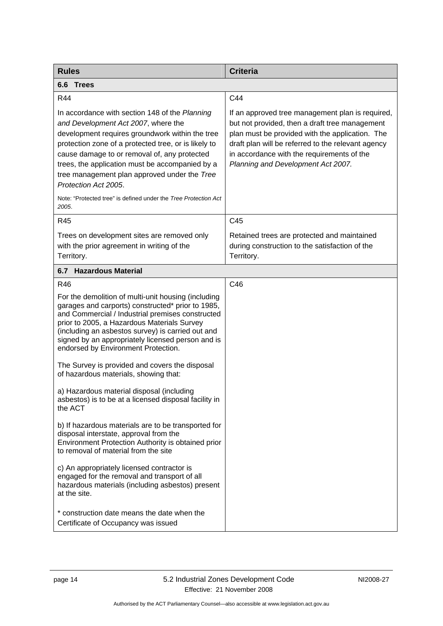<span id="page-17-0"></span>

| <b>Rules</b>                                                                                                                                                                                                                                                                                                                                                                | <b>Criteria</b>                                                                                                                                                                                                                                                                                 |
|-----------------------------------------------------------------------------------------------------------------------------------------------------------------------------------------------------------------------------------------------------------------------------------------------------------------------------------------------------------------------------|-------------------------------------------------------------------------------------------------------------------------------------------------------------------------------------------------------------------------------------------------------------------------------------------------|
| <b>Trees</b><br>6.6                                                                                                                                                                                                                                                                                                                                                         |                                                                                                                                                                                                                                                                                                 |
| R44                                                                                                                                                                                                                                                                                                                                                                         | C44                                                                                                                                                                                                                                                                                             |
| In accordance with section 148 of the Planning<br>and Development Act 2007, where the<br>development requires groundwork within the tree<br>protection zone of a protected tree, or is likely to<br>cause damage to or removal of, any protected<br>trees, the application must be accompanied by a<br>tree management plan approved under the Tree<br>Protection Act 2005. | If an approved tree management plan is required,<br>but not provided, then a draft tree management<br>plan must be provided with the application. The<br>draft plan will be referred to the relevant agency<br>in accordance with the requirements of the<br>Planning and Development Act 2007. |
| Note: "Protected tree" is defined under the Tree Protection Act<br>2005.                                                                                                                                                                                                                                                                                                    |                                                                                                                                                                                                                                                                                                 |
| R45                                                                                                                                                                                                                                                                                                                                                                         | C45                                                                                                                                                                                                                                                                                             |
| Trees on development sites are removed only<br>with the prior agreement in writing of the<br>Territory.                                                                                                                                                                                                                                                                     | Retained trees are protected and maintained<br>during construction to the satisfaction of the<br>Territory.                                                                                                                                                                                     |
| 6.7 Hazardous Material                                                                                                                                                                                                                                                                                                                                                      |                                                                                                                                                                                                                                                                                                 |
| R46                                                                                                                                                                                                                                                                                                                                                                         | C46                                                                                                                                                                                                                                                                                             |
| For the demolition of multi-unit housing (including<br>garages and carports) constructed* prior to 1985,<br>and Commercial / Industrial premises constructed<br>prior to 2005, a Hazardous Materials Survey<br>(including an asbestos survey) is carried out and<br>signed by an appropriately licensed person and is<br>endorsed by Environment Protection.                |                                                                                                                                                                                                                                                                                                 |
| The Survey is provided and covers the disposal<br>of hazardous materials, showing that:                                                                                                                                                                                                                                                                                     |                                                                                                                                                                                                                                                                                                 |
| a) Hazardous material disposal (including<br>asbestos) is to be at a licensed disposal facility in<br>the ACT                                                                                                                                                                                                                                                               |                                                                                                                                                                                                                                                                                                 |
| b) If hazardous materials are to be transported for<br>disposal interstate, approval from the<br>Environment Protection Authority is obtained prior<br>to removal of material from the site                                                                                                                                                                                 |                                                                                                                                                                                                                                                                                                 |
| c) An appropriately licensed contractor is<br>engaged for the removal and transport of all<br>hazardous materials (including asbestos) present<br>at the site.                                                                                                                                                                                                              |                                                                                                                                                                                                                                                                                                 |
| * construction date means the date when the<br>Certificate of Occupancy was issued                                                                                                                                                                                                                                                                                          |                                                                                                                                                                                                                                                                                                 |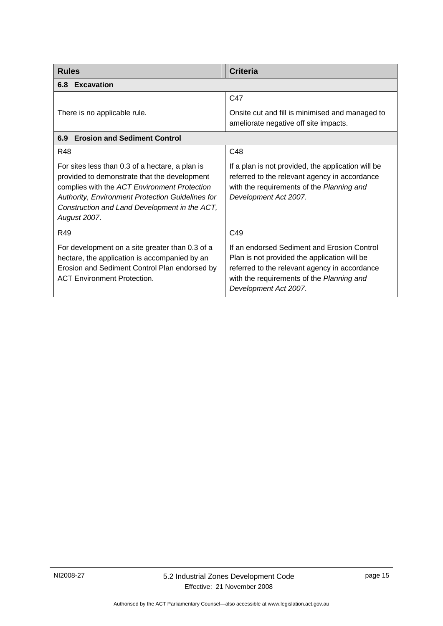<span id="page-18-0"></span>

| <b>Rules</b>                                                                                                                                                                                                                                                         | <b>Criteria</b>                                                                                                                                                                                                    |  |
|----------------------------------------------------------------------------------------------------------------------------------------------------------------------------------------------------------------------------------------------------------------------|--------------------------------------------------------------------------------------------------------------------------------------------------------------------------------------------------------------------|--|
| 6.8 Excavation                                                                                                                                                                                                                                                       |                                                                                                                                                                                                                    |  |
|                                                                                                                                                                                                                                                                      | C47                                                                                                                                                                                                                |  |
| There is no applicable rule.                                                                                                                                                                                                                                         | Onsite cut and fill is minimised and managed to<br>ameliorate negative off site impacts.                                                                                                                           |  |
| <b>Erosion and Sediment Control</b><br>6.9                                                                                                                                                                                                                           |                                                                                                                                                                                                                    |  |
| <b>R48</b>                                                                                                                                                                                                                                                           | C <sub>48</sub>                                                                                                                                                                                                    |  |
| For sites less than 0.3 of a hectare, a plan is<br>provided to demonstrate that the development<br>complies with the ACT Environment Protection<br>Authority, Environment Protection Guidelines for<br>Construction and Land Development in the ACT,<br>August 2007. | If a plan is not provided, the application will be<br>referred to the relevant agency in accordance<br>with the requirements of the Planning and<br>Development Act 2007.                                          |  |
| R49                                                                                                                                                                                                                                                                  | C <sub>49</sub>                                                                                                                                                                                                    |  |
| For development on a site greater than 0.3 of a<br>hectare, the application is accompanied by an<br>Erosion and Sediment Control Plan endorsed by<br><b>ACT Environment Protection.</b>                                                                              | If an endorsed Sediment and Erosion Control<br>Plan is not provided the application will be<br>referred to the relevant agency in accordance<br>with the requirements of the Planning and<br>Development Act 2007. |  |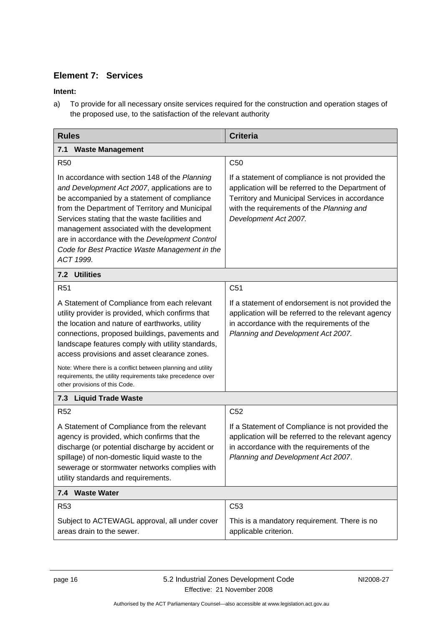## <span id="page-19-0"></span>**Element 7: Services**

### **Intent:**

a) To provide for all necessary onsite services required for the construction and operation stages of the proposed use, to the satisfaction of the relevant authority

| <b>Rules</b>                                                                                                                                                                                                                                                                                                                                                                                                      | <b>Criteria</b>                                                                                                                                                                                                               |  |
|-------------------------------------------------------------------------------------------------------------------------------------------------------------------------------------------------------------------------------------------------------------------------------------------------------------------------------------------------------------------------------------------------------------------|-------------------------------------------------------------------------------------------------------------------------------------------------------------------------------------------------------------------------------|--|
| 7.1<br><b>Waste Management</b>                                                                                                                                                                                                                                                                                                                                                                                    |                                                                                                                                                                                                                               |  |
| <b>R50</b>                                                                                                                                                                                                                                                                                                                                                                                                        | C <sub>50</sub>                                                                                                                                                                                                               |  |
| In accordance with section 148 of the Planning<br>and Development Act 2007, applications are to<br>be accompanied by a statement of compliance<br>from the Department of Territory and Municipal<br>Services stating that the waste facilities and<br>management associated with the development<br>are in accordance with the Development Control<br>Code for Best Practice Waste Management in the<br>ACT 1999. | If a statement of compliance is not provided the<br>application will be referred to the Department of<br>Territory and Municipal Services in accordance<br>with the requirements of the Planning and<br>Development Act 2007. |  |
| 7.2 Utilities                                                                                                                                                                                                                                                                                                                                                                                                     |                                                                                                                                                                                                                               |  |
| R <sub>51</sub>                                                                                                                                                                                                                                                                                                                                                                                                   | C <sub>51</sub>                                                                                                                                                                                                               |  |
| A Statement of Compliance from each relevant<br>utility provider is provided, which confirms that<br>the location and nature of earthworks, utility<br>connections, proposed buildings, pavements and<br>landscape features comply with utility standards,<br>access provisions and asset clearance zones.                                                                                                        | If a statement of endorsement is not provided the<br>application will be referred to the relevant agency<br>in accordance with the requirements of the<br>Planning and Development Act 2007.                                  |  |
| Note: Where there is a conflict between planning and utility<br>requirements, the utility requirements take precedence over<br>other provisions of this Code.                                                                                                                                                                                                                                                     |                                                                                                                                                                                                                               |  |
| 7.3 Liquid Trade Waste                                                                                                                                                                                                                                                                                                                                                                                            |                                                                                                                                                                                                                               |  |
| <b>R52</b>                                                                                                                                                                                                                                                                                                                                                                                                        | C <sub>52</sub>                                                                                                                                                                                                               |  |
| A Statement of Compliance from the relevant<br>agency is provided, which confirms that the<br>discharge (or potential discharge by accident or<br>spillage) of non-domestic liquid waste to the<br>sewerage or stormwater networks complies with<br>utility standards and requirements.                                                                                                                           | If a Statement of Compliance is not provided the<br>application will be referred to the relevant agency<br>in accordance with the requirements of the<br>Planning and Development Act 2007.                                   |  |
| 7.4 Waste Water                                                                                                                                                                                                                                                                                                                                                                                                   |                                                                                                                                                                                                                               |  |
| R <sub>53</sub>                                                                                                                                                                                                                                                                                                                                                                                                   | C <sub>53</sub>                                                                                                                                                                                                               |  |
| Subject to ACTEWAGL approval, all under cover<br>areas drain to the sewer.                                                                                                                                                                                                                                                                                                                                        | This is a mandatory requirement. There is no<br>applicable criterion.                                                                                                                                                         |  |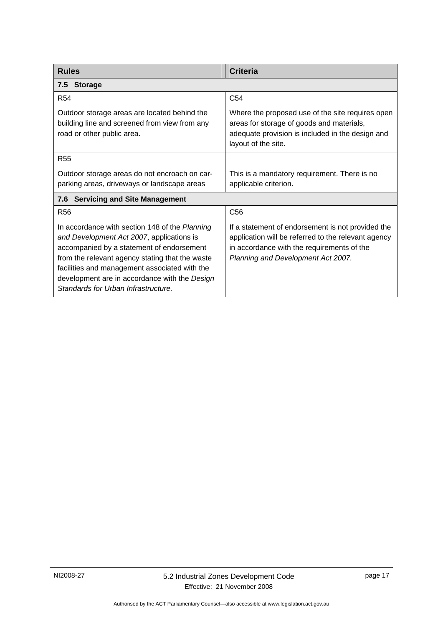<span id="page-20-0"></span>

| <b>Rules</b>                                                                                                                                                                                                                                                                                                                         | <b>Criteria</b>                                                                                                                                                                              |  |
|--------------------------------------------------------------------------------------------------------------------------------------------------------------------------------------------------------------------------------------------------------------------------------------------------------------------------------------|----------------------------------------------------------------------------------------------------------------------------------------------------------------------------------------------|--|
| 7.5 Storage                                                                                                                                                                                                                                                                                                                          |                                                                                                                                                                                              |  |
| <b>R54</b>                                                                                                                                                                                                                                                                                                                           | C <sub>54</sub>                                                                                                                                                                              |  |
| Outdoor storage areas are located behind the<br>building line and screened from view from any<br>road or other public area.                                                                                                                                                                                                          | Where the proposed use of the site requires open<br>areas for storage of goods and materials,<br>adequate provision is included in the design and<br>layout of the site.                     |  |
| <b>R55</b>                                                                                                                                                                                                                                                                                                                           |                                                                                                                                                                                              |  |
| Outdoor storage areas do not encroach on car-<br>parking areas, driveways or landscape areas                                                                                                                                                                                                                                         | This is a mandatory requirement. There is no<br>applicable criterion.                                                                                                                        |  |
| <b>Servicing and Site Management</b><br>7.6                                                                                                                                                                                                                                                                                          |                                                                                                                                                                                              |  |
| R <sub>56</sub>                                                                                                                                                                                                                                                                                                                      | C <sub>56</sub>                                                                                                                                                                              |  |
| In accordance with section 148 of the Planning<br>and Development Act 2007, applications is<br>accompanied by a statement of endorsement<br>from the relevant agency stating that the waste<br>facilities and management associated with the<br>development are in accordance with the Design<br>Standards for Urban Infrastructure. | If a statement of endorsement is not provided the<br>application will be referred to the relevant agency<br>in accordance with the requirements of the<br>Planning and Development Act 2007. |  |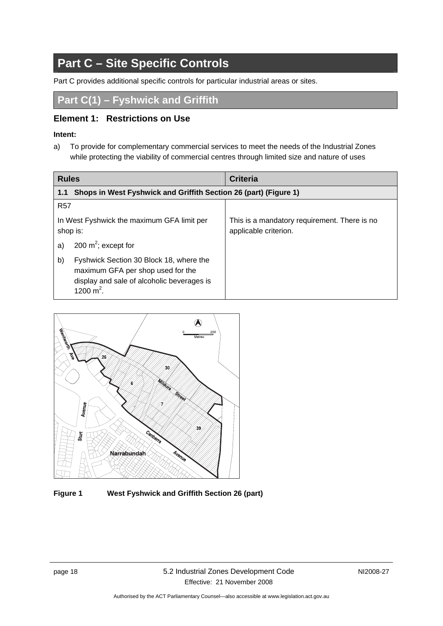## <span id="page-21-0"></span>**Part C – Site Specific Controls**

Part C provides additional specific controls for particular industrial areas or sites.

**Part C(1) – Fyshwick and Griffith** 

### **Element 1: Restrictions on Use**

### **Intent:**

a) To provide for complementary commercial services to meet the needs of the Industrial Zones while protecting the viability of commercial centres through limited size and nature of uses

| <b>Rules</b>                                                                                                                                     | <b>Criteria</b>                                                       |
|--------------------------------------------------------------------------------------------------------------------------------------------------|-----------------------------------------------------------------------|
| Shops in West Fyshwick and Griffith Section 26 (part) (Figure 1)<br>1.1                                                                          |                                                                       |
| <b>R57</b>                                                                                                                                       |                                                                       |
| In West Fyshwick the maximum GFA limit per<br>shop is:                                                                                           | This is a mandatory requirement. There is no<br>applicable criterion. |
| 200 $m^2$ ; except for<br>a)                                                                                                                     |                                                                       |
| b)<br>Fyshwick Section 30 Block 18, where the<br>maximum GFA per shop used for the<br>display and sale of alcoholic beverages is<br>1200 $m^2$ . |                                                                       |



**Figure 1 West Fyshwick and Griffith Section 26 (part)**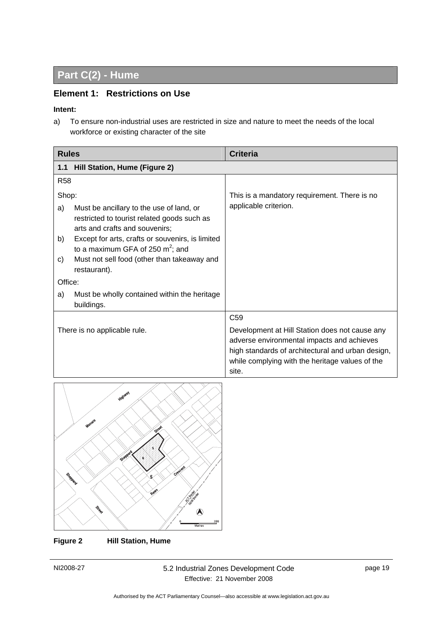## <span id="page-22-0"></span>**Part C(2) - Hume**

## **Element 1: Restrictions on Use**

#### **Intent:**

a) To ensure non-industrial uses are restricted in size and nature to meet the needs of the local workforce or existing character of the site

| <b>Rules</b>                       |                                                                                                                                                                                                                                                                                     | <b>Criteria</b>                                                                                                                                                                                                                  |
|------------------------------------|-------------------------------------------------------------------------------------------------------------------------------------------------------------------------------------------------------------------------------------------------------------------------------------|----------------------------------------------------------------------------------------------------------------------------------------------------------------------------------------------------------------------------------|
| 1.1                                | Hill Station, Hume (Figure 2)                                                                                                                                                                                                                                                       |                                                                                                                                                                                                                                  |
| <b>R58</b>                         |                                                                                                                                                                                                                                                                                     |                                                                                                                                                                                                                                  |
| Shop:<br>a)<br>b)<br>C)<br>Office: | Must be ancillary to the use of land, or<br>restricted to tourist related goods such as<br>arts and crafts and souvenirs;<br>Except for arts, crafts or souvenirs, is limited<br>to a maximum GFA of 250 $m^2$ ; and<br>Must not sell food (other than takeaway and<br>restaurant). | This is a mandatory requirement. There is no<br>applicable criterion.                                                                                                                                                            |
| a)                                 | Must be wholly contained within the heritage<br>buildings.                                                                                                                                                                                                                          |                                                                                                                                                                                                                                  |
|                                    | There is no applicable rule.                                                                                                                                                                                                                                                        | C <sub>59</sub><br>Development at Hill Station does not cause any<br>adverse environmental impacts and achieves<br>high standards of architectural and urban design,<br>while complying with the heritage values of the<br>site. |



**Figure 2 Hill Station, Hume**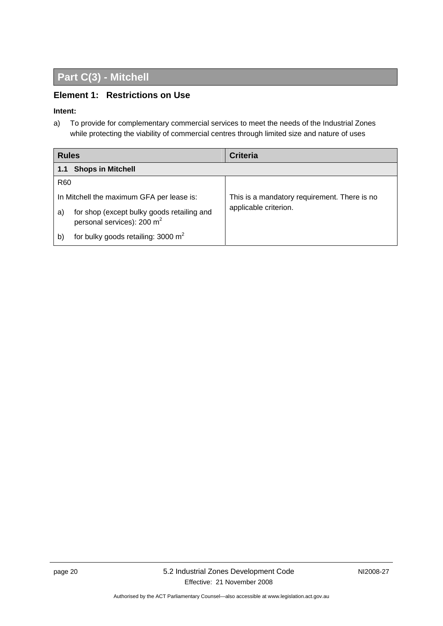## <span id="page-23-0"></span>**Part C(3) - Mitchell**

### **Element 1: Restrictions on Use**

#### **Intent:**

a) To provide for complementary commercial services to meet the needs of the Industrial Zones while protecting the viability of commercial centres through limited size and nature of uses

| <b>Rules</b>    |                                                                                      | <b>Criteria</b>                              |  |
|-----------------|--------------------------------------------------------------------------------------|----------------------------------------------|--|
| 1.1             | <b>Shops in Mitchell</b>                                                             |                                              |  |
| R <sub>60</sub> |                                                                                      |                                              |  |
|                 | In Mitchell the maximum GFA per lease is:                                            | This is a mandatory requirement. There is no |  |
| a)              | for shop (except bulky goods retailing and<br>personal services): 200 m <sup>2</sup> | applicable criterion.                        |  |
| b)              | for bulky goods retailing: 3000 $m2$                                                 |                                              |  |